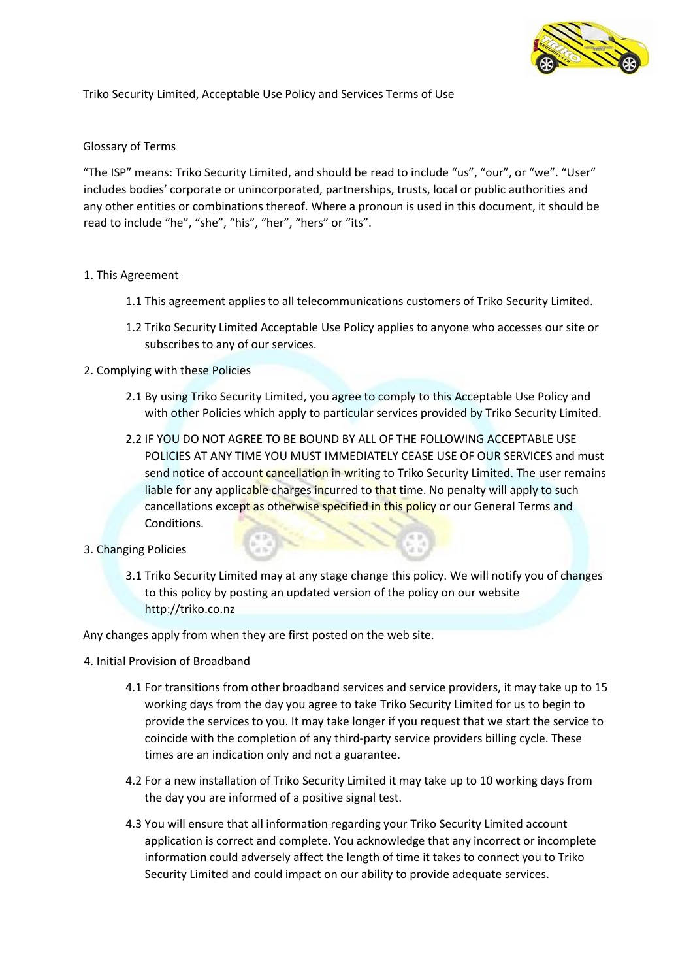

Triko Security Limited, Acceptable Use Policy and Services Terms of Use

### Glossary of Terms

"The ISP" means: Triko Security Limited, and should be read to include "us", "our", or "we". "User" includes bodies' corporate or unincorporated, partnerships, trusts, local or public authorities and any other entities or combinations thereof. Where a pronoun is used in this document, it should be read to include "he", "she", "his", "her", "hers" or "its".

# 1. This Agreement

- 1.1 This agreement applies to all telecommunications customers of Triko Security Limited.
- 1.2 Triko Security Limited Acceptable Use Policy applies to anyone who accesses our site or subscribes to any of our services.

# 2. Complying with these Policies

- 2.1 By using Triko Security Limited, you agree to comply to this Acceptable Use Policy and with other Policies which apply to particular services provided by Triko Security Limited.
- 2.2 IF YOU DO NOT AGREE TO BE BOUND BY ALL OF THE FOLLOWING ACCEPTABLE USE POLICIES AT ANY TIME YOU MUST IMMEDIATELY CEASE USE OF OUR SERVICES and must send notice of account cancellation in writing to Triko Security Limited. The user remains liable for any applicable charges incurred to that time. No penalty will apply to such cancellations except as otherwise specified in this policy or our General Terms and Conditions.
- 3. Changing Policies
	- 3.1 Triko Security Limited may at any stage change this policy. We will notify you of changes to this policy by posting an updated version of the policy on our website http://triko.co.nz

Any changes apply from when they are first posted on the web site.

- 4. Initial Provision of Broadband
	- 4.1 For transitions from other broadband services and service providers, it may take up to 15 working days from the day you agree to take Triko Security Limited for us to begin to provide the services to you. It may take longer if you request that we start the service to coincide with the completion of any third-party service providers billing cycle. These times are an indication only and not a guarantee.
	- 4.2 For a new installation of Triko Security Limited it may take up to 10 working days from the day you are informed of a positive signal test.
	- 4.3 You will ensure that all information regarding your Triko Security Limited account application is correct and complete. You acknowledge that any incorrect or incomplete information could adversely affect the length of time it takes to connect you to Triko Security Limited and could impact on our ability to provide adequate services.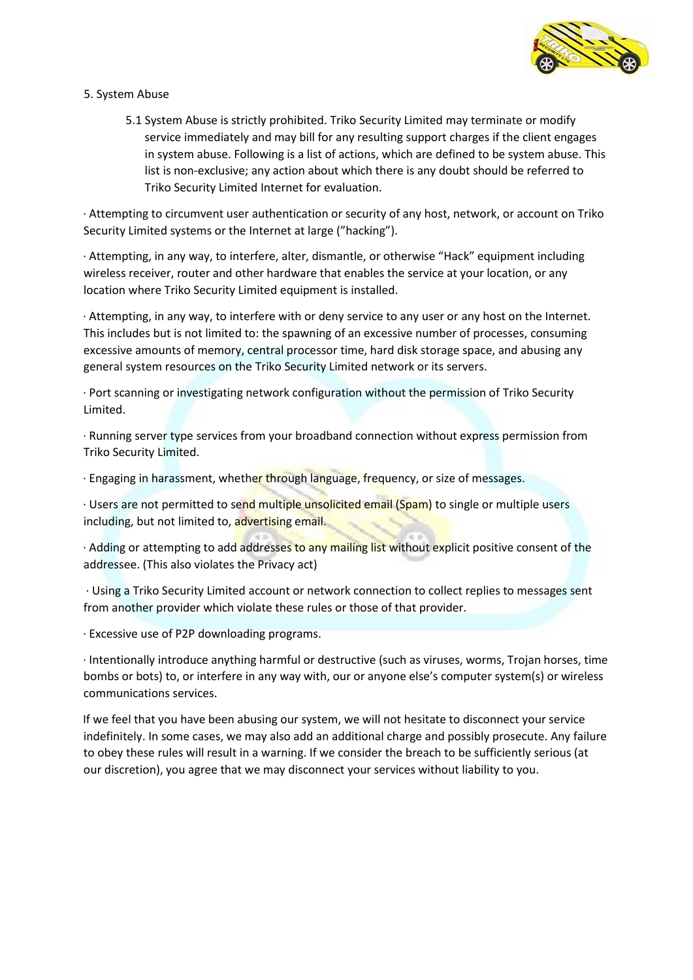

- 5. System Abuse
	- 5.1 System Abuse is strictly prohibited. Triko Security Limited may terminate or modify service immediately and may bill for any resulting support charges if the client engages in system abuse. Following is a list of actions, which are defined to be system abuse. This list is non-exclusive; any action about which there is any doubt should be referred to Triko Security Limited Internet for evaluation.

· Attempting to circumvent user authentication or security of any host, network, or account on Triko Security Limited systems or the Internet at large ("hacking").

· Attempting, in any way, to interfere, alter, dismantle, or otherwise "Hack" equipment including wireless receiver, router and other hardware that enables the service at your location, or any location where Triko Security Limited equipment is installed.

· Attempting, in any way, to interfere with or deny service to any user or any host on the Internet. This includes but is not limited to: the spawning of an excessive number of processes, consuming excessive amounts of memory, central processor time, hard disk storage space, and abusing any general system resources on the Triko Security Limited network or its servers.

· Port scanning or investigating network configuration without the permission of Triko Security Limited.

· Running server type services from your broadband connection without express permission from Triko Security Limited.

· Engaging in harassment, whether through language, frequency, or size of messages.

· Users are not permitted to send multiple unsolicited email (Spam) to single or multiple users including, but not limited to, advertising email.

· Adding or attempting to add addresses to any mailing list without explicit positive consent of the addressee. (This also violates the Privacy act)

· Using a Triko Security Limited account or network connection to collect replies to messages sent from another provider which violate these rules or those of that provider.

· Excessive use of P2P downloading programs.

· Intentionally introduce anything harmful or destructive (such as viruses, worms, Trojan horses, time bombs or bots) to, or interfere in any way with, our or anyone else's computer system(s) or wireless communications services.

If we feel that you have been abusing our system, we will not hesitate to disconnect your service indefinitely. In some cases, we may also add an additional charge and possibly prosecute. Any failure to obey these rules will result in a warning. If we consider the breach to be sufficiently serious (at our discretion), you agree that we may disconnect your services without liability to you.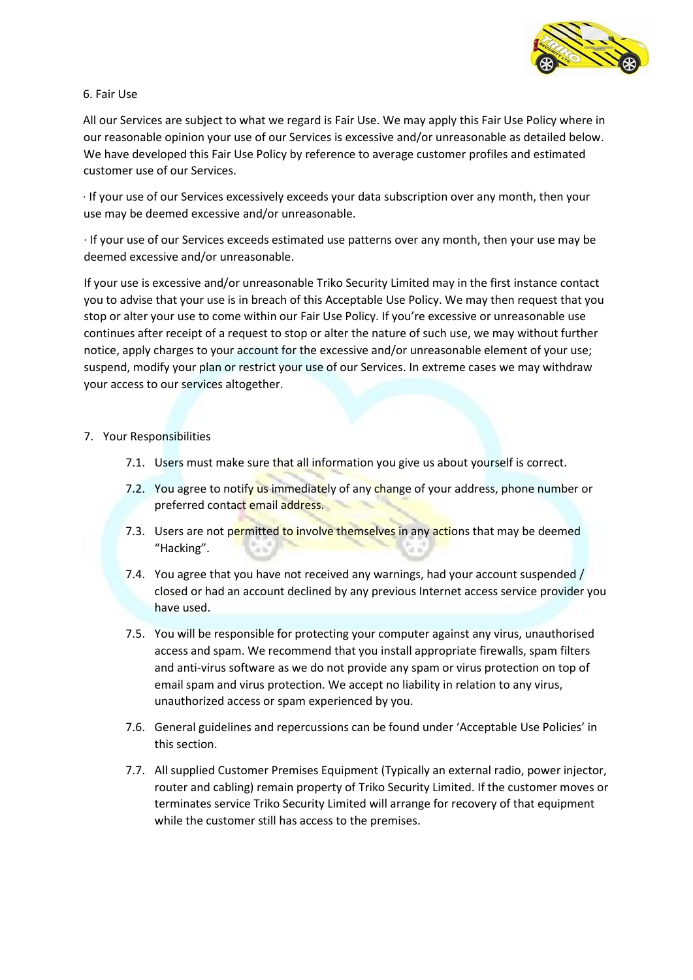

### 6. Fair Use

All our Services are subject to what we regard is Fair Use. We may apply this Fair Use Policy where in our reasonable opinion your use of our Services is excessive and/or unreasonable as detailed below. We have developed this Fair Use Policy by reference to average customer profiles and estimated customer use of our Services.

· If your use of our Services excessively exceeds your data subscription over any month, then your use may be deemed excessive and/or unreasonable.

· If your use of our Services exceeds estimated use patterns over any month, then your use may be deemed excessive and/or unreasonable.

If your use is excessive and/or unreasonable Triko Security Limited may in the first instance contact you to advise that your use is in breach of this Acceptable Use Policy. We may then request that you stop or alter your use to come within our Fair Use Policy. If you're excessive or unreasonable use continues after receipt of a request to stop or alter the nature of such use, we may without further notice, apply charges to your account for the excessive and/or unreasonable element of your use; suspend, modify your plan or restrict your use of our Services. In extreme cases we may withdraw your access to our services altogether.

# 7. Your Responsibilities

- 7.1. Users must make sure that all information you give us about yourself is correct.
- 7.2. You agree to notify us immediately of any change of your address, phone number or preferred contact email address.
- 7.3. Users are not permitted to involve themselves in any actions that may be deemed "Hacking".
- 7.4. You agree that you have not received any warnings, had your account suspended / closed or had an account declined by any previous Internet access service provider you have used.
- 7.5. You will be responsible for protecting your computer against any virus, unauthorised access and spam. We recommend that you install appropriate firewalls, spam filters and anti-virus software as we do not provide any spam or virus protection on top of email spam and virus protection. We accept no liability in relation to any virus, unauthorized access or spam experienced by you.
- 7.6. General guidelines and repercussions can be found under 'Acceptable Use Policies' in this section.
- 7.7. All supplied Customer Premises Equipment (Typically an external radio, power injector, router and cabling) remain property of Triko Security Limited. If the customer moves or terminates service Triko Security Limited will arrange for recovery of that equipment while the customer still has access to the premises.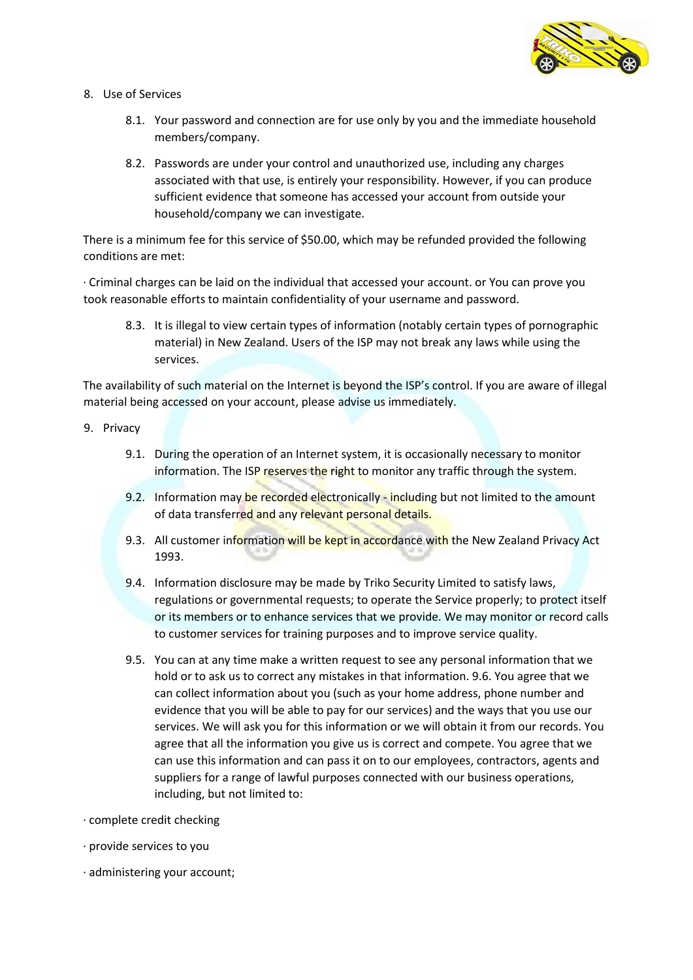

- 8. Use of Services
	- 8.1. Your password and connection are for use only by you and the immediate household members/company.
	- 8.2. Passwords are under your control and unauthorized use, including any charges associated with that use, is entirely your responsibility. However, if you can produce sufficient evidence that someone has accessed your account from outside your household/company we can investigate.

There is a minimum fee for this service of \$50.00, which may be refunded provided the following conditions are met:

· Criminal charges can be laid on the individual that accessed your account. or You can prove you took reasonable efforts to maintain confidentiality of your username and password.

8.3. It is illegal to view certain types of information (notably certain types of pornographic material) in New Zealand. Users of the ISP may not break any laws while using the services.

The availability of such material on the Internet is beyond the ISP's control. If you are aware of illegal material being accessed on your account, please advise us immediately.

- 9. Privacy
	- 9.1. During the operation of an Internet system, it is occasionally necessary to monitor information. The ISP reserves the right to monitor any traffic through the system.
	- 9.2. Information may be recorded electronically including but not limited to the amount of data transferred and any relevant personal details.
	- 9.3. All customer information will be kept in accordance with the New Zealand Privacy Act 1993.
	- 9.4. Information disclosure may be made by Triko Security Limited to satisfy laws, regulations or governmental requests; to operate the Service properly; to protect itself or its members or to enhance services that we provide. We may monitor or record calls to customer services for training purposes and to improve service quality.
	- 9.5. You can at any time make a written request to see any personal information that we hold or to ask us to correct any mistakes in that information. 9.6. You agree that we can collect information about you (such as your home address, phone number and evidence that you will be able to pay for our services) and the ways that you use our services. We will ask you for this information or we will obtain it from our records. You agree that all the information you give us is correct and compete. You agree that we can use this information and can pass it on to our employees, contractors, agents and suppliers for a range of lawful purposes connected with our business operations, including, but not limited to:
- · complete credit checking
- · provide services to you
- · administering your account;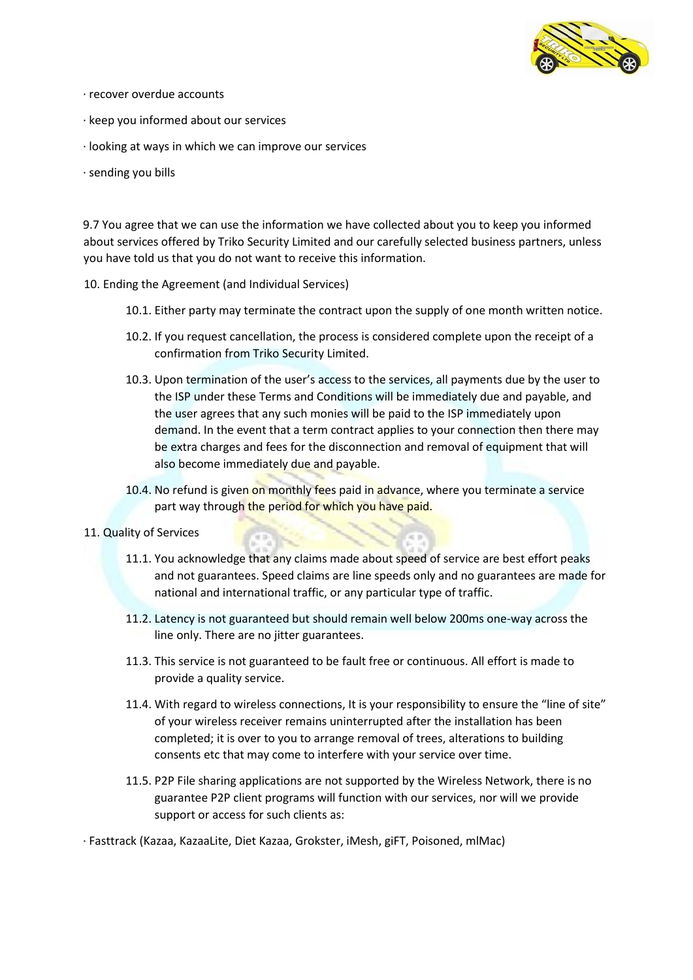

- · recover overdue accounts
- · keep you informed about our services
- · looking at ways in which we can improve our services
- · sending you bills

9.7 You agree that we can use the information we have collected about you to keep you informed about services offered by Triko Security Limited and our carefully selected business partners, unless you have told us that you do not want to receive this information.

- 10. Ending the Agreement (and Individual Services)
	- 10.1. Either party may terminate the contract upon the supply of one month written notice.
	- 10.2. If you request cancellation, the process is considered complete upon the receipt of a confirmation from Triko Security Limited.
	- 10.3. Upon termination of the user's access to the services, all payments due by the user to the ISP under these Terms and Conditions will be immediately due and payable, and the user agrees that any such monies will be paid to the ISP immediately upon demand. In the event that a term contract applies to your connection then there may be extra charges and fees for the disconnection and removal of equipment that will also become immediately due and payable.
	- 10.4. No refund is given on monthly fees paid in advance, where you terminate a service part way through the period for which you have paid.
- 11. Quality of Services
	- 11.1. You acknowledge that any claims made about speed of service are best effort peaks and not guarantees. Speed claims are line speeds only and no guarantees are made for national and international traffic, or any particular type of traffic.
	- 11.2. Latency is not guaranteed but should remain well below 200ms one-way across the line only. There are no jitter guarantees.
	- 11.3. This service is not guaranteed to be fault free or continuous. All effort is made to provide a quality service.
	- 11.4. With regard to wireless connections, It is your responsibility to ensure the "line of site" of your wireless receiver remains uninterrupted after the installation has been completed; it is over to you to arrange removal of trees, alterations to building consents etc that may come to interfere with your service over time.
	- 11.5. P2P File sharing applications are not supported by the Wireless Network, there is no guarantee P2P client programs will function with our services, nor will we provide support or access for such clients as:
- · Fasttrack (Kazaa, KazaaLite, Diet Kazaa, Grokster, iMesh, giFT, Poisoned, mlMac)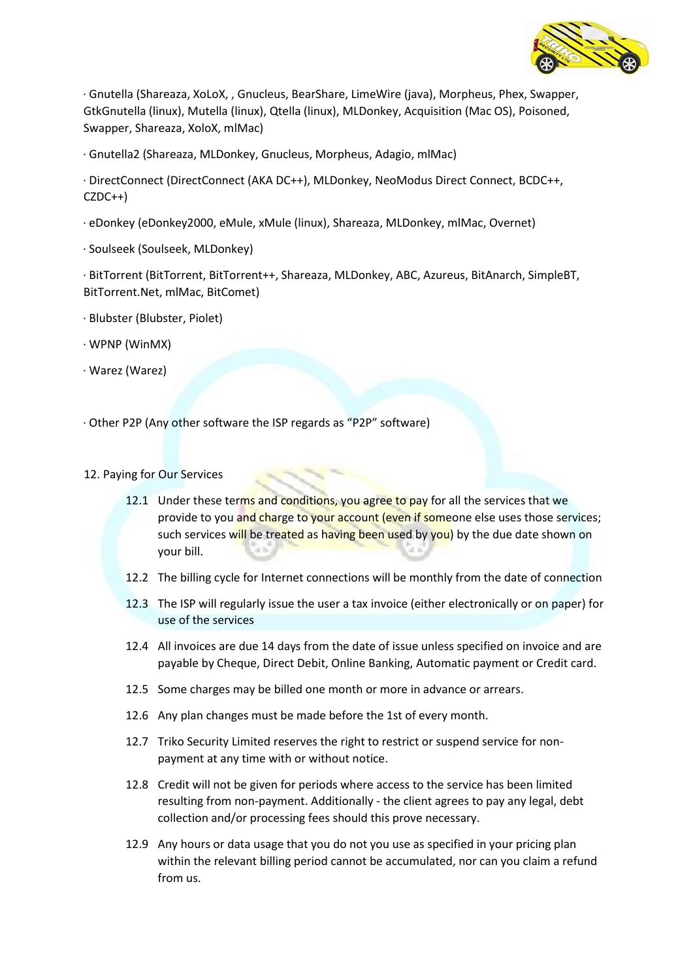

· Gnutella (Shareaza, XoLoX, , Gnucleus, BearShare, LimeWire (java), Morpheus, Phex, Swapper, GtkGnutella (linux), Mutella (linux), Qtella (linux), MLDonkey, Acquisition (Mac OS), Poisoned, Swapper, Shareaza, XoloX, mlMac)

· Gnutella2 (Shareaza, MLDonkey, Gnucleus, Morpheus, Adagio, mlMac)

· DirectConnect (DirectConnect (AKA DC++), MLDonkey, NeoModus Direct Connect, BCDC++, CZDC++)

- · eDonkey (eDonkey2000, eMule, xMule (linux), Shareaza, MLDonkey, mlMac, Overnet)
- · Soulseek (Soulseek, MLDonkey)

· BitTorrent (BitTorrent, BitTorrent++, Shareaza, MLDonkey, ABC, Azureus, BitAnarch, SimpleBT, BitTorrent.Net, mlMac, BitComet)

- · Blubster (Blubster, Piolet)
- · WPNP (WinMX)
- · Warez (Warez)

· Other P2P (Any other software the ISP regards as "P2P" software)

### 12. Paying for Our Services

- 12.1 Under these terms and conditions, you agree to pay for all the services that we provide to you and charge to your account (even if someone else uses those services; such services will be treated as having been used by you) by the due date shown on your bill.
- 12.2 The billing cycle for Internet connections will be monthly from the date of connection
- 12.3 The ISP will regularly issue the user a tax invoice (either electronically or on paper) for use of the services
- 12.4 All invoices are due 14 days from the date of issue unless specified on invoice and are payable by Cheque, Direct Debit, Online Banking, Automatic payment or Credit card.
- 12.5 Some charges may be billed one month or more in advance or arrears.
- 12.6 Any plan changes must be made before the 1st of every month.
- 12.7 Triko Security Limited reserves the right to restrict or suspend service for nonpayment at any time with or without notice.
- 12.8 Credit will not be given for periods where access to the service has been limited resulting from non-payment. Additionally - the client agrees to pay any legal, debt collection and/or processing fees should this prove necessary.
- 12.9 Any hours or data usage that you do not you use as specified in your pricing plan within the relevant billing period cannot be accumulated, nor can you claim a refund from us.